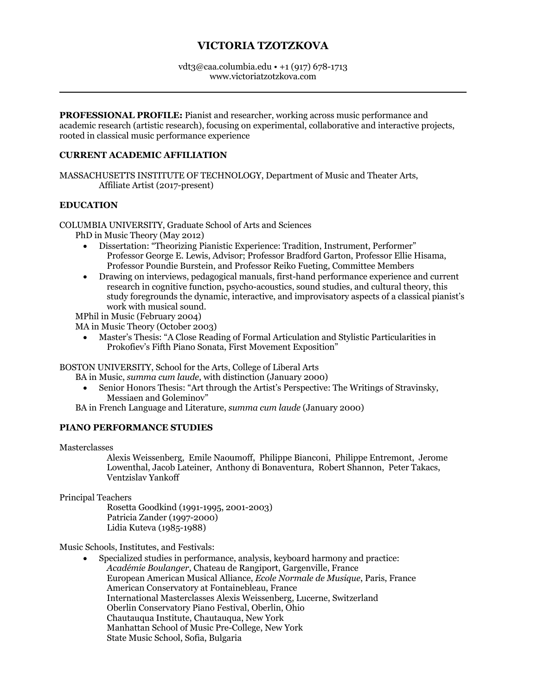# **VICTORIA TZOTZKOVA**

#### vdt3@caa.columbia.edu • +1 (917) 678-1713 www.victoriatzotzkova.com

**PROFESSIONAL PROFILE:** Pianist and researcher, working across music performance and academic research (artistic research), focusing on experimental, collaborative and interactive projects, rooted in classical music performance experience

#### **CURRENT ACADEMIC AFFILIATION**

MASSACHUSETTS INSTITUTE OF TECHNOLOGY, Department of Music and Theater Arts, Affiliate Artist (2017-present)

## **EDUCATION**

COLUMBIA UNIVERSITY, Graduate School of Arts and Sciences

PhD in Music Theory (May 2012)

- Dissertation: "Theorizing Pianistic Experience: Tradition, Instrument, Performer" Professor George E. Lewis, Advisor; Professor Bradford Garton, Professor Ellie Hisama, Professor Poundie Burstein, and Professor Reiko Fueting, Committee Members
- Drawing on interviews, pedagogical manuals, first-hand performance experience and current research in cognitive function, psycho-acoustics, sound studies, and cultural theory, this study foregrounds the dynamic, interactive, and improvisatory aspects of a classical pianist's work with musical sound.

MPhil in Music (February 2004)

MA in Music Theory (October 2003)

• Master's Thesis: "A Close Reading of Formal Articulation and Stylistic Particularities in Prokofiev's Fifth Piano Sonata, First Movement Exposition"

#### BOSTON UNIVERSITY, School for the Arts, College of Liberal Arts

BA in Music, *summa cum laude*, with distinction (January 2000)

- Senior Honors Thesis: "Art through the Artist's Perspective: The Writings of Stravinsky, Messiaen and Goleminov"
- BA in French Language and Literature, *summa cum laude* (January 2000)

# **PIANO PERFORMANCE STUDIES**

**Masterclasses** 

Alexis Weissenberg, Emile Naoumoff, Philippe Bianconi, Philippe Entremont, Jerome Lowenthal, Jacob Lateiner, Anthony di Bonaventura, Robert Shannon, Peter Takacs, Ventzislav Yankoff

Principal Teachers

Rosetta Goodkind (1991-1995, 2001-2003) Patricia Zander (1997-2000) Lidia Kuteva (1985-1988)

Music Schools, Institutes, and Festivals:

• Specialized studies in performance, analysis, keyboard harmony and practice: *Académie Boulanger*, Chateau de Rangiport, Gargenville, France European American Musical Alliance, *Ecole Normale de Musique*, Paris, France American Conservatory at Fontainebleau, France International Masterclasses Alexis Weissenberg, Lucerne, Switzerland Oberlin Conservatory Piano Festival, Oberlin, Ohio Chautauqua Institute, Chautauqua, New York Manhattan School of Music Pre-College, New York State Music School, Sofia, Bulgaria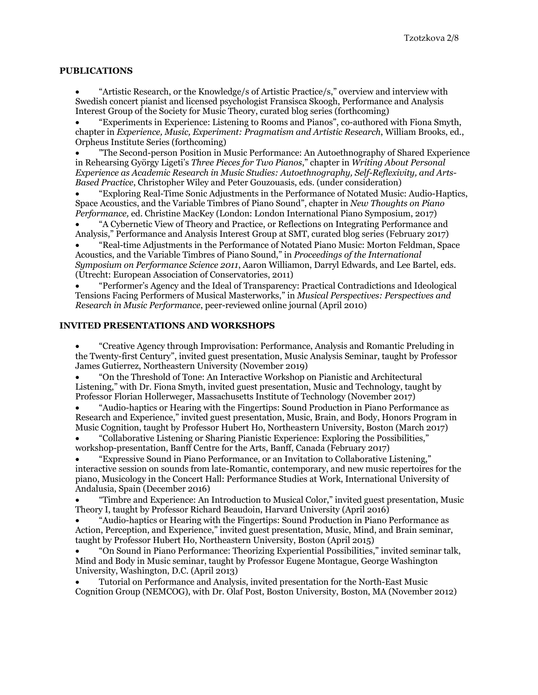#### **PUBLICATIONS**

• "Artistic Research, or the Knowledge/s of Artistic Practice/s," overview and interview with Swedish concert pianist and licensed psychologist Fransisca Skoogh, Performance and Analysis Interest Group of the Society for Music Theory, curated blog series (forthcoming)

• "Experiments in Experience: Listening to Rooms and Pianos", co-authored with Fiona Smyth, chapter in *Experience, Music, Experiment: Pragmatism and Artistic Research*, William Brooks, ed., Orpheus Institute Series (forthcoming)

• "The Second-person Position in Music Performance: An Autoethnography of Shared Experience in Rehearsing György Ligeti's *Three Pieces for Two Pianos*," chapter in *Writing About Personal Experience as Academic Research in Music Studies: Autoethnography, Self-Reflexivity, and Arts-Based Practice*, Christopher Wiley and Peter Gouzouasis, eds. (under consideration)

• "Exploring Real-Time Sonic Adjustments in the Performance of Notated Music: Audio-Haptics, Space Acoustics, and the Variable Timbres of Piano Sound", chapter in *New Thoughts on Piano Performance,* ed. Christine MacKey (London: London International Piano Symposium, 2017)

• "A Cybernetic View of Theory and Practice, or Reflections on Integrating Performance and Analysis," Performance and Analysis Interest Group at SMT, curated blog series (February 2017)

• "Real-time Adjustments in the Performance of Notated Piano Music: Morton Feldman, Space Acoustics, and the Variable Timbres of Piano Sound," in *Proceedings of the International Symposium on Performance Science 2011*, Aaron Williamon, Darryl Edwards, and Lee Bartel, eds. (Utrecht: European Association of Conservatories, 2011)

• "Performer's Agency and the Ideal of Transparency: Practical Contradictions and Ideological Tensions Facing Performers of Musical Masterworks," in *Musical Perspectives: Perspectives and Research in Music Performance*, peer-reviewed online journal (April 2010)

#### **INVITED PRESENTATIONS AND WORKSHOPS**

• "Creative Agency through Improvisation: Performance, Analysis and Romantic Preluding in the Twenty-first Century", invited guest presentation, Music Analysis Seminar, taught by Professor James Gutierrez, Northeastern University (November 2019)

• "On the Threshold of Tone: An Interactive Workshop on Pianistic and Architectural Listening," with Dr. Fiona Smyth, invited guest presentation, Music and Technology, taught by Professor Florian Hollerweger, Massachusetts Institute of Technology (November 2017)

• "Audio-haptics or Hearing with the Fingertips: Sound Production in Piano Performance as Research and Experience," invited guest presentation, Music, Brain, and Body, Honors Program in Music Cognition, taught by Professor Hubert Ho, Northeastern University, Boston (March 2017)

• "Collaborative Listening or Sharing Pianistic Experience: Exploring the Possibilities," workshop-presentation, Banff Centre for the Arts, Banff, Canada (February 2017)

• "Expressive Sound in Piano Performance, or an Invitation to Collaborative Listening," interactive session on sounds from late-Romantic, contemporary, and new music repertoires for the piano, Musicology in the Concert Hall: Performance Studies at Work, International University of Andalusia, Spain (December 2016)

• "Timbre and Experience: An Introduction to Musical Color," invited guest presentation, Music Theory I, taught by Professor Richard Beaudoin, Harvard University (April 2016)

• "Audio-haptics or Hearing with the Fingertips: Sound Production in Piano Performance as Action, Perception, and Experience," invited guest presentation, Music, Mind, and Brain seminar, taught by Professor Hubert Ho, Northeastern University, Boston (April 2015)

• "On Sound in Piano Performance: Theorizing Experiential Possibilities," invited seminar talk, Mind and Body in Music seminar, taught by Professor Eugene Montague, George Washington University, Washington, D.C. (April 2013)

• Tutorial on Performance and Analysis, invited presentation for the North-East Music Cognition Group (NEMCOG), with Dr. Olaf Post, Boston University, Boston, MA (November 2012)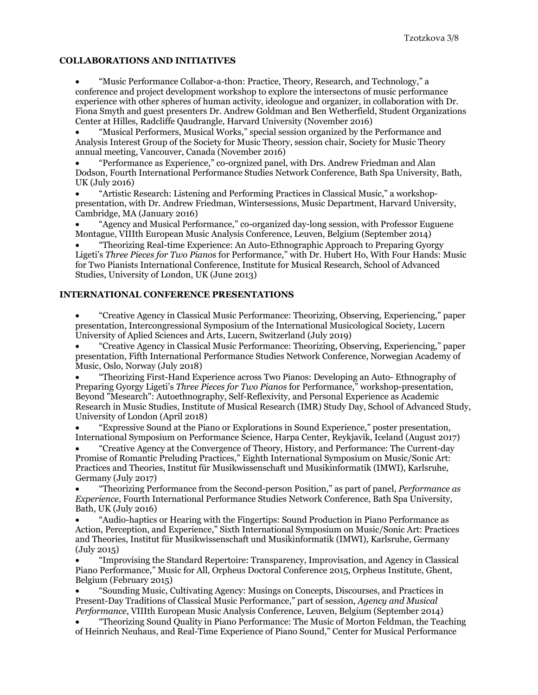#### **COLLABORATIONS AND INITIATIVES**

• "Music Performance Collabor-a-thon: Practice, Theory, Research, and Technology," a conference and project development workshop to explore the intersectons of music performance experience with other spheres of human activity, ideologue and organizer, in collaboration with Dr. Fiona Smyth and guest presenters Dr. Andrew Goldman and Ben Wetherfield, Student Organizations Center at Hilles, Radcliffe Qaudrangle, Harvard University (November 2016)

• "Musical Performers, Musical Works," special session organized by the Performance and Analysis Interest Group of the Society for Music Theory, session chair, Society for Music Theory annual meeting, Vancouver, Canada (November 2016)

• "Performance as Experience," co-orgnized panel, with Drs. Andrew Friedman and Alan Dodson, Fourth International Performance Studies Network Conference, Bath Spa University, Bath, UK (July 2016)

• "Artistic Research: Listening and Performing Practices in Classical Music," a workshoppresentation, with Dr. Andrew Friedman, Wintersessions, Music Department, Harvard University, Cambridge, MA (January 2016)

• "Agency and Musical Performance," co-organized day-long session, with Professor Euguene Montague, VIIIth European Music Analysis Conference, Leuven, Belgium (September 2014)

• "Theorizing Real-time Experience: An Auto-Ethnographic Approach to Preparing Gyorgy Ligeti's *Three Pieces for Two Pianos* for Performance," with Dr. Hubert Ho, With Four Hands: Music for Two Pianists International Conference, Institute for Musical Research, School of Advanced Studies, University of London, UK (June 2013)

## **INTERNATIONAL CONFERENCE PRESENTATIONS**

• "Creative Agency in Classical Music Performance: Theorizing, Observing, Experiencing," paper presentation, Intercongressional Symposium of the International Musicological Society, Lucern University of Aplied Sciences and Arts, Lucern, Switzerland (July 2019)

• "Creative Agency in Classical Music Performance: Theorizing, Observing, Experiencing," paper presentation, Fifth International Performance Studies Network Conference, Norwegian Academy of Music, Oslo, Norway (July 2018)

• "Theorizing First-Hand Experience across Two Pianos: Developing an Auto- Ethnography of Preparing Gyorgy Ligeti's *Three Pieces for Two Pianos* for Performance," workshop-presentation, Beyond "Mesearch": Autoethnography, Self-Reflexivity, and Personal Experience as Academic Research in Music Studies, Institute of Musical Research (IMR) Study Day, School of Advanced Study, University of London (April 2018)

• "Expressive Sound at the Piano or Explorations in Sound Experience," poster presentation, International Symposium on Performance Science, Harpa Center, Reykjavik, Iceland (August 2017)

• "Creative Agency at the Convergence of Theory, History, and Performance: The Current-day Promise of Romantic Preluding Practices," Eighth International Symposium on Music/Sonic Art: Practices and Theories, Institut für Musikwissenschaft und Musikinformatik (IMWI), Karlsruhe, Germany (July 2017)

• "Theorizing Performance from the Second-person Position," as part of panel, *Performance as Experience*, Fourth International Performance Studies Network Conference, Bath Spa University, Bath, UK (July 2016)

• "Audio-haptics or Hearing with the Fingertips: Sound Production in Piano Performance as Action, Perception, and Experience," Sixth International Symposium on Music/Sonic Art: Practices and Theories, Institut für Musikwissenschaft und Musikinformatik (IMWI), Karlsruhe, Germany (July 2015)

• "Improvising the Standard Repertoire: Transparency, Improvisation, and Agency in Classical Piano Performance," Music for All, Orpheus Doctoral Conference 2015, Orpheus Institute, Ghent, Belgium (February 2015)

• "Sounding Music, Cultivating Agency: Musings on Concepts, Discourses, and Practices in Present-Day Traditions of Classical Music Performance," part of session, *Agency and Musical Performance*, VIIIth European Music Analysis Conference, Leuven, Belgium (September 2014)

• "Theorizing Sound Quality in Piano Performance: The Music of Morton Feldman, the Teaching of Heinrich Neuhaus, and Real-Time Experience of Piano Sound," Center for Musical Performance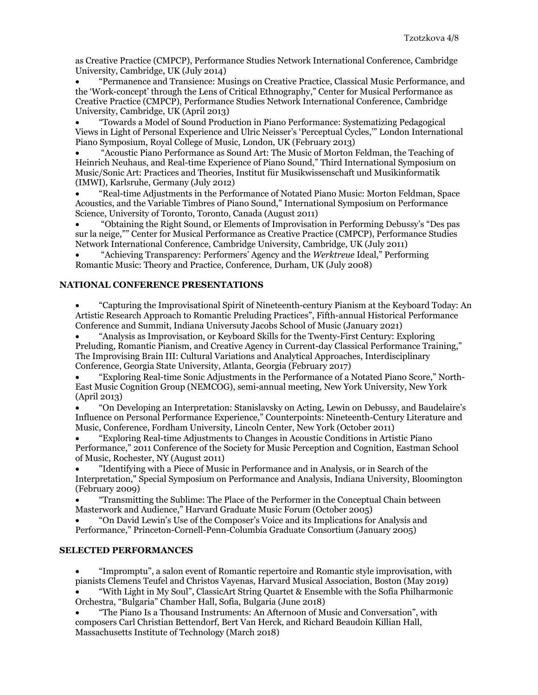as Creative Practice (CMPCP), Performance Studies Network International Conference, Cambridge University, Cambridge, UK (July 2014)

• "Permanence and Transience: Musings on Creative Practice, Classical Music Performance, and the 'Work-concept' through the Lens of Critical Ethnography," Center for Musical Performance as Creative Practice (CMPCP), Performance Studies Network International Conference, Cambridge University, Cambridge, UK (April 2013)

• "Towards a Model of Sound Production in Piano Performance: Systematizing Pedagogical Views in Light of Personal Experience and Ulric Neisser's 'Perceptual Cycles,'" London International Piano Symposium, Royal College of Music, London, UK (February 2013)

• "Acoustic Piano Performance as Sound Art: The Music of Morton Feldman, the Teaching of Heinrich Neuhaus, and Real-time Experience of Piano Sound," Third International Symposium on Music/Sonic Art: Practices and Theories, Institut für Musikwissenschaft und Musikinformatik (IMWI), Karlsruhe, Germany (July 2012)

• "Real-time Adjustments in the Performance of Notated Piano Music: Morton Feldman, Space Acoustics, and the Variable Timbres of Piano Sound," International Symposium on Performance Science, University of Toronto, Toronto, Canada (August 2011)

• "Obtaining the Right Sound, or Elements of Improvisation in Performing Debussy's "Des pas sur la neige,"" Center for Musical Performance as Creative Practice (CMPCP), Performance Studies Network International Conference, Cambridge University, Cambridge, UK (July 2011)

• "Achieving Transparency: Performers' Agency and the *Werktreue* Ideal," Performing Romantic Music: Theory and Practice, Conference, Durham, UK (July 2008)

## **NATIONAL CONFERENCE PRESENTATIONS**

• "Capturing the Improvisational Spirit of Nineteenth-century Pianism at the Keyboard Today: An Artistic Research Approach to Romantic Preluding Practices", Fifth-annual Historical Performance Conference and Summit, Indiana Universuty Jacobs School of Music (January 2021)

• "Analysis as Improvisation, or Keyboard Skills for the Twenty-First Century: Exploring Preluding, Romantic Pianism, and Creative Agency in Current-day Classical Performance Training," The Improvising Brain III: Cultural Variations and Analytical Approaches, Interdisciplinary Conference, Georgia State University, Atlanta, Georgia (February 2017)

• "Exploring Real-time Sonic Adjustments in the Performance of a Notated Piano Score," North-East Music Cognition Group (NEMCOG), semi-annual meeting, New York University, New York (April 2013)

• "On Developing an Interpretation: Stanislavsky on Acting, Lewin on Debussy, and Baudelaire's Influence on Personal Performance Experience," Counterpoints: Nineteenth-Century Literature and Music, Conference, Fordham University, Lincoln Center, New York (October 2011)

• "Exploring Real-time Adjustments to Changes in Acoustic Conditions in Artistic Piano Performance," 2011 Conference of the Society for Music Perception and Cognition, Eastman School of Music, Rochester, NY (August 2011)

• "Identifying with a Piece of Music in Performance and in Analysis, or in Search of the Interpretation," Special Symposium on Performance and Analysis, Indiana University, Bloomington (February 2009)

• "Transmitting the Sublime: The Place of the Performer in the Conceptual Chain between Masterwork and Audience," Harvard Graduate Music Forum (October 2005)

• "On David Lewin's Use of the Composer's Voice and its Implications for Analysis and Performance," Princeton-Cornell-Penn-Columbia Graduate Consortium (January 2005)

# **SELECTED PERFORMANCES**

• "Impromptu", a salon event of Romantic repertoire and Romantic style improvisation, with pianists Clemens Teufel and Christos Vayenas, Harvard Musical Association, Boston (May 2019)

• "With Light in My Soul", ClassicArt String Quartet & Ensemble with the Sofia Philharmonic Orchestra, "Bulgaria" Chamber Hall, Sofia, Bulgaria (June 2018)

• "The Piano Is a Thousand Instruments: An Afternoon of Music and Conversation", with composers Carl Christian Bettendorf, Bert Van Herck, and Richard Beaudoin Killian Hall, Massachusetts Institute of Technology (March 2018)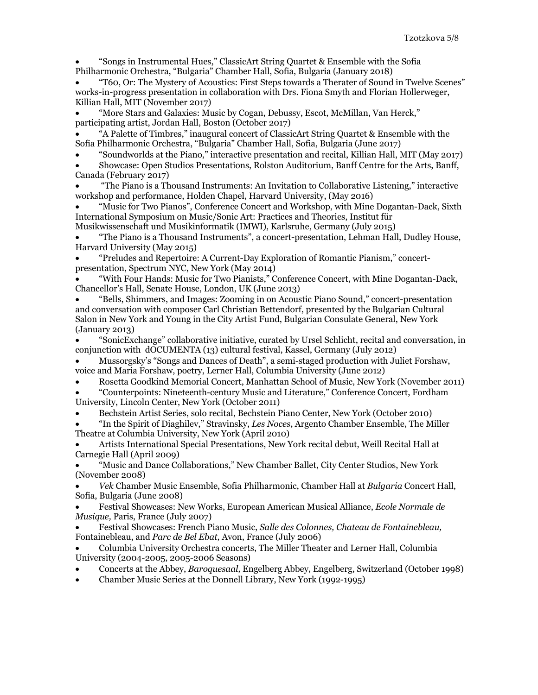• "Songs in Instrumental Hues," ClassicArt String Quartet & Ensemble with the Sofia Philharmonic Orchestra, "Bulgaria" Chamber Hall, Sofia, Bulgaria (January 2018)

• "T60, Or: The Mystery of Acoustics: First Steps towards a Therater of Sound in Twelve Scenes" works-in-progress presentation in collaboration with Drs. Fiona Smyth and Florian Hollerweger, Killian Hall, MIT (November 2017)

• "More Stars and Galaxies: Music by Cogan, Debussy, Escot, McMillan, Van Herck," participating artist, Jordan Hall, Boston (October 2017)

• "A Palette of Timbres," inaugural concert of ClassicArt String Quartet & Ensemble with the Sofia Philharmonic Orchestra, "Bulgaria" Chamber Hall, Sofia, Bulgaria (June 2017)

• "Soundworlds at the Piano," interactive presentation and recital, Killian Hall, MIT (May 2017)

• Showcase: Open Studios Presentations, Rolston Auditorium, Banff Centre for the Arts, Banff, Canada (February 2017)

• "The Piano is a Thousand Instruments: An Invitation to Collaborative Listening," interactive workshop and performance, Holden Chapel, Harvard University, (May 2016)

• "Music for Two Pianos", Conference Concert and Workshop, with Mine Dogantan-Dack, Sixth International Symposium on Music/Sonic Art: Practices and Theories, Institut für Musikwissenschaft und Musikinformatik (IMWI), Karlsruhe, Germany (July 2015)

• "The Piano is a Thousand Instruments", a concert-presentation, Lehman Hall, Dudley House, Harvard University (May 2015)

• "Preludes and Repertoire: A Current-Day Exploration of Romantic Pianism," concertpresentation, Spectrum NYC, New York (May 2014)

• "With Four Hands: Music for Two Pianists," Conference Concert, with Mine Dogantan-Dack, Chancellor's Hall, Senate House, London, UK (June 2013)

• "Bells, Shimmers, and Images: Zooming in on Acoustic Piano Sound," concert-presentation and conversation with composer Carl Christian Bettendorf, presented by the Bulgarian Cultural Salon in New York and Young in the City Artist Fund, Bulgarian Consulate General, New York (January 2013)

• "SonicExchange" collaborative initiative, curated by Ursel Schlicht, recital and conversation, in conjunction with dOCUMENTA (13) cultural festival, Kassel, Germany (July 2012)

• Mussorgsky's "Songs and Dances of Death", a semi-staged production with Juliet Forshaw, voice and Maria Forshaw, poetry, Lerner Hall, Columbia University (June 2012)

• Rosetta Goodkind Memorial Concert, Manhattan School of Music, New York (November 2011) • "Counterpoints: Nineteenth-century Music and Literature," Conference Concert, Fordham

University, Lincoln Center, New York (October 2011)

• Bechstein Artist Series, solo recital, Bechstein Piano Center, New York (October 2010)

• "In the Spirit of Diaghilev," Stravinsky, *Les Noces*, Argento Chamber Ensemble, The Miller Theatre at Columbia University, New York (April 2010)

• Artists International Special Presentations, New York recital debut, Weill Recital Hall at Carnegie Hall (April 2009)

• "Music and Dance Collaborations," New Chamber Ballet, City Center Studios, New York (November 2008)

• *Vek* Chamber Music Ensemble, Sofia Philharmonic, Chamber Hall at *Bulgaria* Concert Hall, Sofia, Bulgaria (June 2008)

• Festival Showcases: New Works, European American Musical Alliance, *Ecole Normale de Musique,* Paris, France (July 2007)

• Festival Showcases: French Piano Music, *Salle des Colonnes, Chateau de Fontainebleau,*  Fontainebleau, and *Parc de Bel Ebat,* Avon, France (July 2006)

• Columbia University Orchestra concerts, The Miller Theater and Lerner Hall, Columbia University (2004-2005, 2005-2006 Seasons)

- Concerts at the Abbey, *Baroquesaal,* Engelberg Abbey, Engelberg, Switzerland (October 1998)
- Chamber Music Series at the Donnell Library, New York (1992-1995)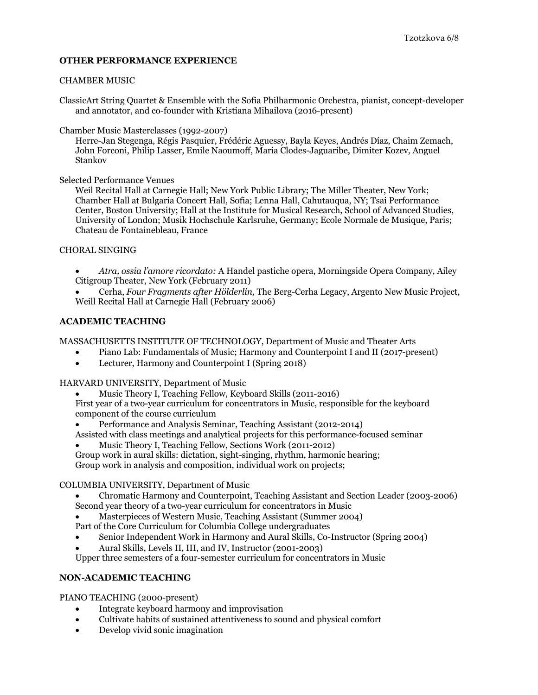## **OTHER PERFORMANCE EXPERIENCE**

#### CHAMBER MUSIC

ClassicArt String Quartet & Ensemble with the Sofia Philharmonic Orchestra, pianist, concept-developer and annotator, and co-founder with Kristiana Mihailova (2016-present)

Chamber Music Masterclasses (1992-2007)

Herre-Jan Stegenga, Régis Pasquier, Frédéric Aguessy, Bayla Keyes, Andrés Díaz, Chaim Zemach, John Forconi, Philip Lasser, Emile Naoumoff, Maria Clodes-Jaguaribe, Dimiter Kozev, Anguel Stankov

Selected Performance Venues

Weil Recital Hall at Carnegie Hall; New York Public Library; The Miller Theater, New York; Chamber Hall at Bulgaria Concert Hall, Sofia; Lenna Hall, Cahutauqua, NY; Tsai Performance Center, Boston University; Hall at the Institute for Musical Research, School of Advanced Studies, University of London; Musik Hochschule Karlsruhe, Germany; Ecole Normale de Musique, Paris; Chateau de Fontainebleau, France

#### CHORAL SINGING

- *Atra, ossia l'amore ricordato:* A Handel pastiche opera, Morningside Opera Company, Ailey Citigroup Theater, New York (February 2011)
- Cerha, *Four Fragments after Hölderlin,* The Berg-Cerha Legacy, Argento New Music Project, Weill Recital Hall at Carnegie Hall (February 2006)

#### **ACADEMIC TEACHING**

MASSACHUSETTS INSTITUTE OF TECHNOLOGY, Department of Music and Theater Arts

- Piano Lab: Fundamentals of Music; Harmony and Counterpoint I and II (2017-present)
- Lecturer, Harmony and Counterpoint I (Spring 2018)

HARVARD UNIVERSITY, Department of Music

- Music Theory I, Teaching Fellow, Keyboard Skills (2011-2016) First year of a two-year curriculum for concentrators in Music, responsible for the keyboard component of the course curriculum
- Performance and Analysis Seminar, Teaching Assistant (2012-2014)
- Assisted with class meetings and analytical projects for this performance-focused seminar • Music Theory I, Teaching Fellow, Sections Work (2011-2012)
- Group work in aural skills: dictation, sight-singing, rhythm, harmonic hearing; Group work in analysis and composition, individual work on projects;

#### COLUMBIA UNIVERSITY, Department of Music

- Chromatic Harmony and Counterpoint, Teaching Assistant and Section Leader (2003-2006) Second year theory of a two-year curriculum for concentrators in Music
- Masterpieces of Western Music, Teaching Assistant (Summer 2004)

Part of the Core Curriculum for Columbia College undergraduates

- Senior Independent Work in Harmony and Aural Skills, Co-Instructor (Spring 2004)
- Aural Skills, Levels II, III, and IV, Instructor (2001-2003)

Upper three semesters of a four-semester curriculum for concentrators in Music

#### **NON-ACADEMIC TEACHING**

PIANO TEACHING (2000-present)

- Integrate keyboard harmony and improvisation
- Cultivate habits of sustained attentiveness to sound and physical comfort
- Develop vivid sonic imagination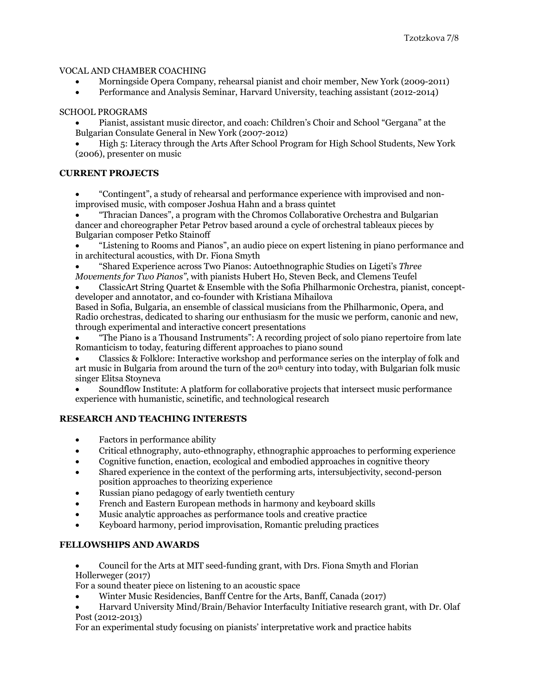## VOCAL AND CHAMBER COACHING

- Morningside Opera Company, rehearsal pianist and choir member, New York (2009-2011)
- Performance and Analysis Seminar, Harvard University, teaching assistant (2012-2014)

## SCHOOL PROGRAMS

• Pianist, assistant music director, and coach: Children's Choir and School "Gergana" at the Bulgarian Consulate General in New York (2007-2012)

• High 5: Literacy through the Arts After School Program for High School Students, New York (2006), presenter on music

## **CURRENT PROJECTS**

• "Contingent", a study of rehearsal and performance experience with improvised and nonimprovised music, with composer Joshua Hahn and a brass quintet

• "Thracian Dances", a program with the Chromos Collaborative Orchestra and Bulgarian dancer and choreographer Petar Petrov based around a cycle of orchestral tableaux pieces by Bulgarian composer Petko Stainoff

• "Listening to Rooms and Pianos", an audio piece on expert listening in piano performance and in architectural acoustics, with Dr. Fiona Smyth

• "Shared Experience across Two Pianos: Autoethnographic Studies on Ligeti's *Three Movements for Two Pianos"*, with pianists Hubert Ho, Steven Beck, and Clemens Teufel

• ClassicArt String Quartet & Ensemble with the Sofia Philharmonic Orchestra, pianist, conceptdeveloper and annotator, and co-founder with Kristiana Mihailova

Based in Sofia, Bulgaria, an ensemble of classical musicians from the Philharmonic, Opera, and Radio orchestras, dedicated to sharing our enthusiasm for the music we perform, canonic and new, through experimental and interactive concert presentations

• "The Piano is a Thousand Instruments": A recording project of solo piano repertoire from late Romanticism to today, featuring different approaches to piano sound

• Classics & Folklore: Interactive workshop and performance series on the interplay of folk and art music in Bulgaria from around the turn of the  $20<sup>th</sup>$  century into today, with Bulgarian folk music singer Elitsa Stoyneva

• Soundflow Institute: A platform for collaborative projects that intersect music performance experience with humanistic, scinetific, and technological research

#### **RESEARCH AND TEACHING INTERESTS**

- Factors in performance ability
- Critical ethnography, auto-ethnography, ethnographic approaches to performing experience
- Cognitive function, enaction, ecological and embodied approaches in cognitive theory
- Shared experience in the context of the performing arts, intersubjectivity, second-person position approaches to theorizing experience
- Russian piano pedagogy of early twentieth century
- French and Eastern European methods in harmony and keyboard skills
- Music analytic approaches as performance tools and creative practice
- Keyboard harmony, period improvisation, Romantic preluding practices

# **FELLOWSHIPS AND AWARDS**

• Council for the Arts at MIT seed-funding grant, with Drs. Fiona Smyth and Florian Hollerweger (2017)

For a sound theater piece on listening to an acoustic space

- Winter Music Residencies, Banff Centre for the Arts, Banff, Canada (2017)
- Harvard University Mind/Brain/Behavior Interfaculty Initiative research grant, with Dr. Olaf Post (2012-2013)

For an experimental study focusing on pianists' interpretative work and practice habits